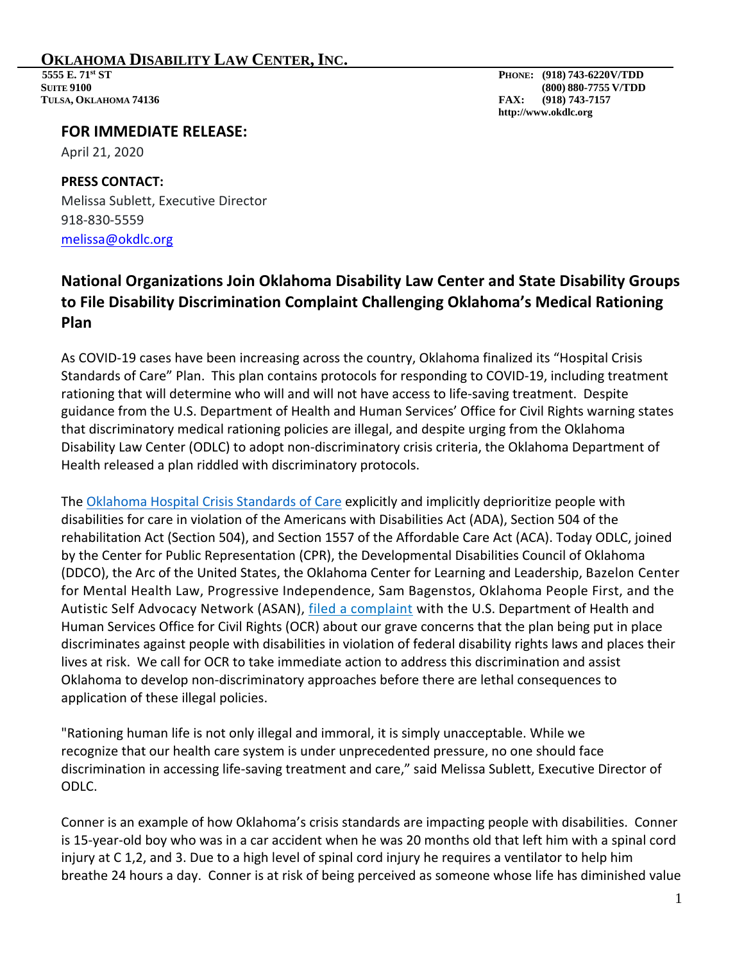## **OKLAHOMA DISABILITY LAW CENTER, INC.**<br>
5555 E. 71<sup>st</sup> ST<br>
Suite 9100<br>
880-7755 V/TDD

 **TULSA, OKLAHOMA 74136 FAX: (918) 743-7157**

 **SUITE 9100 (800) 880-7755 V/TDD http://www.okdlc.org**

## **FOR IMMEDIATE RELEASE:**

April 21, 2020

## **PRESS CONTACT:** Melissa Sublett, Executive Director 918-830-5559 [melissa@okdlc.org](mailto:esurtees@drtx.org)

## **National Organizations Join Oklahoma Disability Law Center and State Disability Groups to File Disability Discrimination Complaint Challenging Oklahoma's Medical Rationing Plan**

As COVID-19 cases have been increasing across the country, Oklahoma finalized its "Hospital Crisis Standards of Care" Plan. This plan contains protocols for responding to COVID-19, including treatment rationing that will determine who will and will not have access to life-saving treatment. Despite guidance from the U.S. Department of Health and Human Services' Office for Civil Rights warning states that discriminatory medical rationing policies are illegal, and despite urging from the Oklahoma Disability Law Center (ODLC) to adopt non-discriminatory crisis criteria, the Oklahoma Department of Health released a plan riddled with discriminatory protocols.

The [Oklahoma Hospital Crisis Standards of Care](http://www.ok.gov/health2/documents/Hospital%20Crisis%20Standards%20of%20Care.pdf) explicitly and implicitly deprioritize people with disabilities for care in violation of the Americans with Disabilities Act (ADA), Section 504 of the rehabilitation Act (Section 504), and Section 1557 of the Affordable Care Act (ACA). Today ODLC, joined by the Center for Public Representation (CPR), the Developmental Disabilities Council of Oklahoma (DDCO), the Arc of the United States, the Oklahoma Center for Learning and Leadership, Bazelon Center for Mental Health Law, Progressive Independence, Sam Bagenstos, Oklahoma People First, and the Autistic Self Advocacy Network (ASAN), [filed a complaint](http://okdlc.org/wp-content/uploads/2020/04/4.21-Oklahoma-OCR-Complaint-Final.pdf) with the U.S. Department of Health and Human Services Office for Civil Rights (OCR) about our grave concerns that the plan being put in place discriminates against people with disabilities in violation of federal disability rights laws and places their lives at risk. We call for OCR to take immediate action to address this discrimination and assist Oklahoma to develop non-discriminatory approaches before there are lethal consequences to application of these illegal policies.

"Rationing human life is not only illegal and immoral, it is simply unacceptable. While we recognize that our health care system is under unprecedented pressure, no one should face discrimination in accessing life-saving treatment and care," said Melissa Sublett, Executive Director of ODLC.

Conner is an example of how Oklahoma's crisis standards are impacting people with disabilities. Conner is 15-year-old boy who was in a car accident when he was 20 months old that left him with a spinal cord injury at C 1,2, and 3. Due to a high level of spinal cord injury he requires a ventilator to help him breathe 24 hours a day. Conner is at risk of being perceived as someone whose life has diminished value